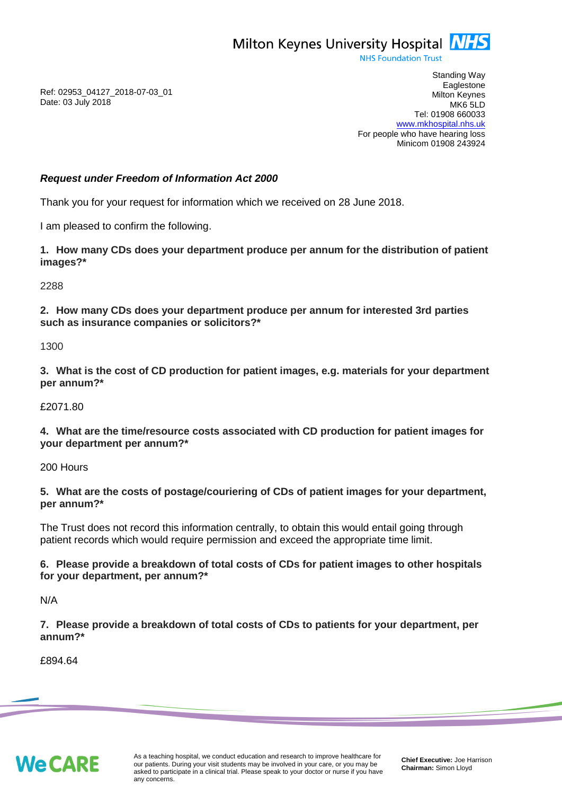

**NHS Foundation Trust** 

Ref: 02953\_04127\_2018-07-03\_01 Date: 03 July 2018

Standing Way **Eaglestone** Milton Keynes MK6 5LD Tel: 01908 660033 [www.mkhospital.nhs.uk](http://www.mkhospital.nhs.uk/) For people who have hearing loss Minicom 01908 243924

## *Request under Freedom of Information Act 2000*

Thank you for your request for information which we received on 28 June 2018.

I am pleased to confirm the following.

**1. How many CDs does your department produce per annum for the distribution of patient images?\***

2288

**2. How many CDs does your department produce per annum for interested 3rd parties such as insurance companies or solicitors?\***

1300

**3. What is the cost of CD production for patient images, e.g. materials for your department per annum?\***

£2071.80

**4. What are the time/resource costs associated with CD production for patient images for your department per annum?\***

200 Hours

**5. What are the costs of postage/couriering of CDs of patient images for your department, per annum?\***

The Trust does not record this information centrally, to obtain this would entail going through patient records which would require permission and exceed the appropriate time limit.

**6. Please provide a breakdown of total costs of CDs for patient images to other hospitals for your department, per annum?\***

N/A

**7. Please provide a breakdown of total costs of CDs to patients for your department, per annum?\***

£894.64